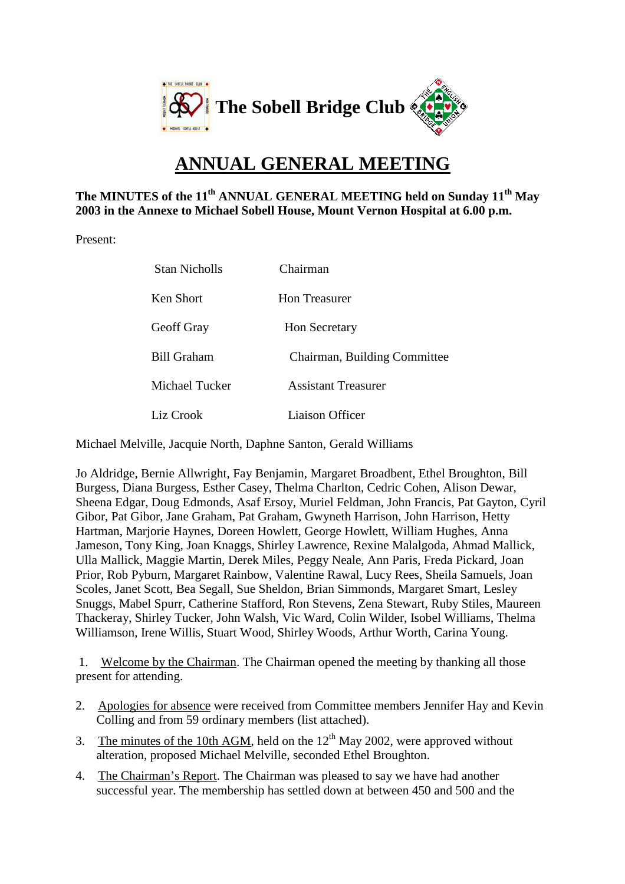

## **ANNUAL GENERAL MEETING**

## **The MINUTES of the 11th ANNUAL GENERAL MEETING held on Sunday 11th May 2003 in the Annexe to Michael Sobell House, Mount Vernon Hospital at 6.00 p.m.**

Present:

| Stan Nicholls      | Chairman                     |
|--------------------|------------------------------|
| Ken Short          | Hon Treasurer                |
| Geoff Gray         | <b>Hon Secretary</b>         |
| <b>Bill Graham</b> | Chairman, Building Committee |
| Michael Tucker     | <b>Assistant Treasurer</b>   |
| Liz Crook          | Liaison Officer              |

Michael Melville, Jacquie North, Daphne Santon, Gerald Williams

Jo Aldridge, Bernie Allwright, Fay Benjamin, Margaret Broadbent, Ethel Broughton, Bill Burgess, Diana Burgess, Esther Casey, Thelma Charlton, Cedric Cohen, Alison Dewar, Sheena Edgar, Doug Edmonds, Asaf Ersoy, Muriel Feldman, John Francis, Pat Gayton, Cyril Gibor, Pat Gibor, Jane Graham, Pat Graham, Gwyneth Harrison, John Harrison, Hetty Hartman, Marjorie Haynes, Doreen Howlett, George Howlett, William Hughes, Anna Jameson, Tony King, Joan Knaggs, Shirley Lawrence, Rexine Malalgoda, Ahmad Mallick, Ulla Mallick, Maggie Martin, Derek Miles, Peggy Neale, Ann Paris, Freda Pickard, Joan Prior, Rob Pyburn, Margaret Rainbow, Valentine Rawal, Lucy Rees, Sheila Samuels, Joan Scoles, Janet Scott, Bea Segall, Sue Sheldon, Brian Simmonds, Margaret Smart, Lesley Snuggs, Mabel Spurr, Catherine Stafford, Ron Stevens, Zena Stewart, Ruby Stiles, Maureen Thackeray, Shirley Tucker, John Walsh, Vic Ward, Colin Wilder, Isobel Williams, Thelma Williamson, Irene Willis, Stuart Wood, Shirley Woods, Arthur Worth, Carina Young.

 1. Welcome by the Chairman. The Chairman opened the meeting by thanking all those present for attending.

- 2. Apologies for absence were received from Committee members Jennifer Hay and Kevin Colling and from 59 ordinary members (list attached).
- 3. The minutes of the 10th AGM, held on the  $12<sup>th</sup>$  May 2002, were approved without alteration, proposed Michael Melville, seconded Ethel Broughton.
- 4. The Chairman's Report. The Chairman was pleased to say we have had another successful year. The membership has settled down at between 450 and 500 and the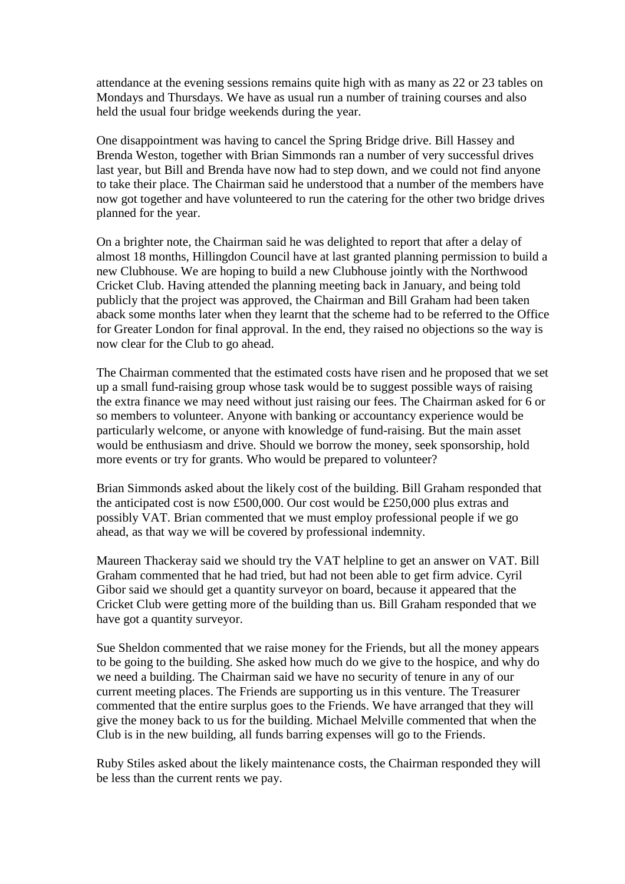attendance at the evening sessions remains quite high with as many as 22 or 23 tables on Mondays and Thursdays. We have as usual run a number of training courses and also held the usual four bridge weekends during the year.

One disappointment was having to cancel the Spring Bridge drive. Bill Hassey and Brenda Weston, together with Brian Simmonds ran a number of very successful drives last year, but Bill and Brenda have now had to step down, and we could not find anyone to take their place. The Chairman said he understood that a number of the members have now got together and have volunteered to run the catering for the other two bridge drives planned for the year.

On a brighter note, the Chairman said he was delighted to report that after a delay of almost 18 months, Hillingdon Council have at last granted planning permission to build a new Clubhouse. We are hoping to build a new Clubhouse jointly with the Northwood Cricket Club. Having attended the planning meeting back in January, and being told publicly that the project was approved, the Chairman and Bill Graham had been taken aback some months later when they learnt that the scheme had to be referred to the Office for Greater London for final approval. In the end, they raised no objections so the way is now clear for the Club to go ahead.

The Chairman commented that the estimated costs have risen and he proposed that we set up a small fund-raising group whose task would be to suggest possible ways of raising the extra finance we may need without just raising our fees. The Chairman asked for 6 or so members to volunteer. Anyone with banking or accountancy experience would be particularly welcome, or anyone with knowledge of fund-raising. But the main asset would be enthusiasm and drive. Should we borrow the money, seek sponsorship, hold more events or try for grants. Who would be prepared to volunteer?

Brian Simmonds asked about the likely cost of the building. Bill Graham responded that the anticipated cost is now £500,000. Our cost would be £250,000 plus extras and possibly VAT. Brian commented that we must employ professional people if we go ahead, as that way we will be covered by professional indemnity.

Maureen Thackeray said we should try the VAT helpline to get an answer on VAT. Bill Graham commented that he had tried, but had not been able to get firm advice. Cyril Gibor said we should get a quantity surveyor on board, because it appeared that the Cricket Club were getting more of the building than us. Bill Graham responded that we have got a quantity surveyor.

Sue Sheldon commented that we raise money for the Friends, but all the money appears to be going to the building. She asked how much do we give to the hospice, and why do we need a building. The Chairman said we have no security of tenure in any of our current meeting places. The Friends are supporting us in this venture. The Treasurer commented that the entire surplus goes to the Friends. We have arranged that they will give the money back to us for the building. Michael Melville commented that when the Club is in the new building, all funds barring expenses will go to the Friends.

Ruby Stiles asked about the likely maintenance costs, the Chairman responded they will be less than the current rents we pay.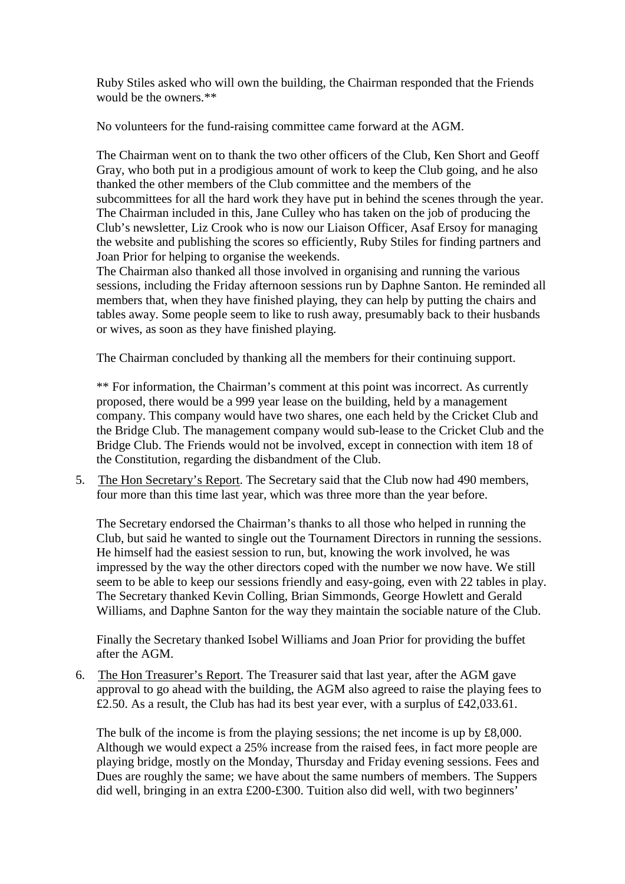Ruby Stiles asked who will own the building, the Chairman responded that the Friends would be the owners.\*\*

No volunteers for the fund-raising committee came forward at the AGM.

The Chairman went on to thank the two other officers of the Club, Ken Short and Geoff Gray, who both put in a prodigious amount of work to keep the Club going, and he also thanked the other members of the Club committee and the members of the subcommittees for all the hard work they have put in behind the scenes through the year. The Chairman included in this, Jane Culley who has taken on the job of producing the Club's newsletter, Liz Crook who is now our Liaison Officer, Asaf Ersoy for managing the website and publishing the scores so efficiently, Ruby Stiles for finding partners and Joan Prior for helping to organise the weekends.

The Chairman also thanked all those involved in organising and running the various sessions, including the Friday afternoon sessions run by Daphne Santon. He reminded all members that, when they have finished playing, they can help by putting the chairs and tables away. Some people seem to like to rush away, presumably back to their husbands or wives, as soon as they have finished playing.

The Chairman concluded by thanking all the members for their continuing support.

\*\* For information, the Chairman's comment at this point was incorrect. As currently proposed, there would be a 999 year lease on the building, held by a management company. This company would have two shares, one each held by the Cricket Club and the Bridge Club. The management company would sub-lease to the Cricket Club and the Bridge Club. The Friends would not be involved, except in connection with item 18 of the Constitution, regarding the disbandment of the Club.

5. The Hon Secretary's Report. The Secretary said that the Club now had 490 members, four more than this time last year, which was three more than the year before.

The Secretary endorsed the Chairman's thanks to all those who helped in running the Club, but said he wanted to single out the Tournament Directors in running the sessions. He himself had the easiest session to run, but, knowing the work involved, he was impressed by the way the other directors coped with the number we now have. We still seem to be able to keep our sessions friendly and easy-going, even with 22 tables in play. The Secretary thanked Kevin Colling, Brian Simmonds, George Howlett and Gerald Williams, and Daphne Santon for the way they maintain the sociable nature of the Club.

Finally the Secretary thanked Isobel Williams and Joan Prior for providing the buffet after the AGM.

6. The Hon Treasurer's Report. The Treasurer said that last year, after the AGM gave approval to go ahead with the building, the AGM also agreed to raise the playing fees to £2.50. As a result, the Club has had its best year ever, with a surplus of £42,033.61.

The bulk of the income is from the playing sessions; the net income is up by £8,000. Although we would expect a 25% increase from the raised fees, in fact more people are playing bridge, mostly on the Monday, Thursday and Friday evening sessions. Fees and Dues are roughly the same; we have about the same numbers of members. The Suppers did well, bringing in an extra £200-£300. Tuition also did well, with two beginners'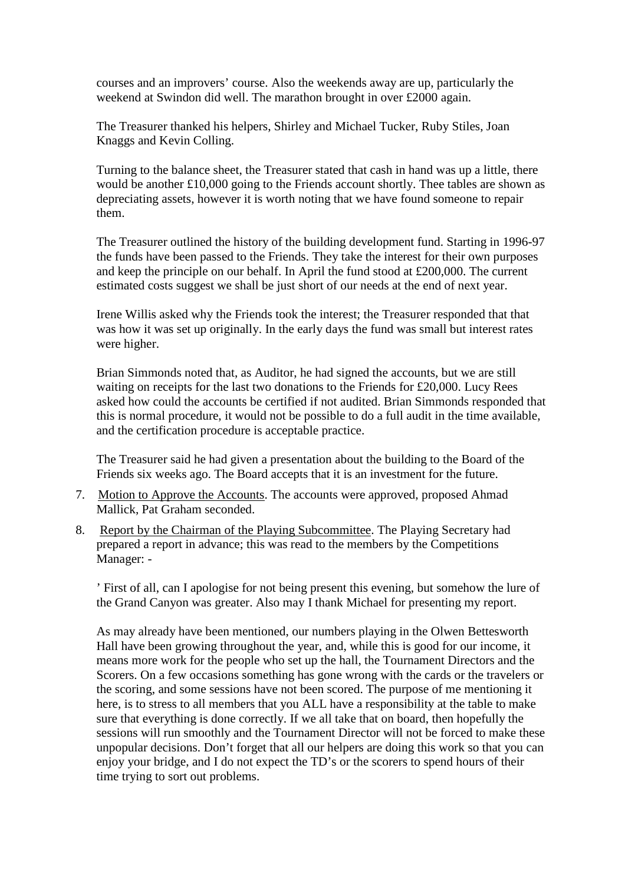courses and an improvers' course. Also the weekends away are up, particularly the weekend at Swindon did well. The marathon brought in over £2000 again.

The Treasurer thanked his helpers, Shirley and Michael Tucker, Ruby Stiles, Joan Knaggs and Kevin Colling.

Turning to the balance sheet, the Treasurer stated that cash in hand was up a little, there would be another £10,000 going to the Friends account shortly. Thee tables are shown as depreciating assets, however it is worth noting that we have found someone to repair them.

The Treasurer outlined the history of the building development fund. Starting in 1996-97 the funds have been passed to the Friends. They take the interest for their own purposes and keep the principle on our behalf. In April the fund stood at £200,000. The current estimated costs suggest we shall be just short of our needs at the end of next year.

Irene Willis asked why the Friends took the interest; the Treasurer responded that that was how it was set up originally. In the early days the fund was small but interest rates were higher.

Brian Simmonds noted that, as Auditor, he had signed the accounts, but we are still waiting on receipts for the last two donations to the Friends for £20,000. Lucy Rees asked how could the accounts be certified if not audited. Brian Simmonds responded that this is normal procedure, it would not be possible to do a full audit in the time available, and the certification procedure is acceptable practice.

The Treasurer said he had given a presentation about the building to the Board of the Friends six weeks ago. The Board accepts that it is an investment for the future.

- 7. Motion to Approve the Accounts. The accounts were approved, proposed Ahmad Mallick, Pat Graham seconded.
- 8. Report by the Chairman of the Playing Subcommittee. The Playing Secretary had prepared a report in advance; this was read to the members by the Competitions Manager: -

' First of all, can I apologise for not being present this evening, but somehow the lure of the Grand Canyon was greater. Also may I thank Michael for presenting my report.

As may already have been mentioned, our numbers playing in the Olwen Bettesworth Hall have been growing throughout the year, and, while this is good for our income, it means more work for the people who set up the hall, the Tournament Directors and the Scorers. On a few occasions something has gone wrong with the cards or the travelers or the scoring, and some sessions have not been scored. The purpose of me mentioning it here, is to stress to all members that you ALL have a responsibility at the table to make sure that everything is done correctly. If we all take that on board, then hopefully the sessions will run smoothly and the Tournament Director will not be forced to make these unpopular decisions. Don't forget that all our helpers are doing this work so that you can enjoy your bridge, and I do not expect the TD's or the scorers to spend hours of their time trying to sort out problems.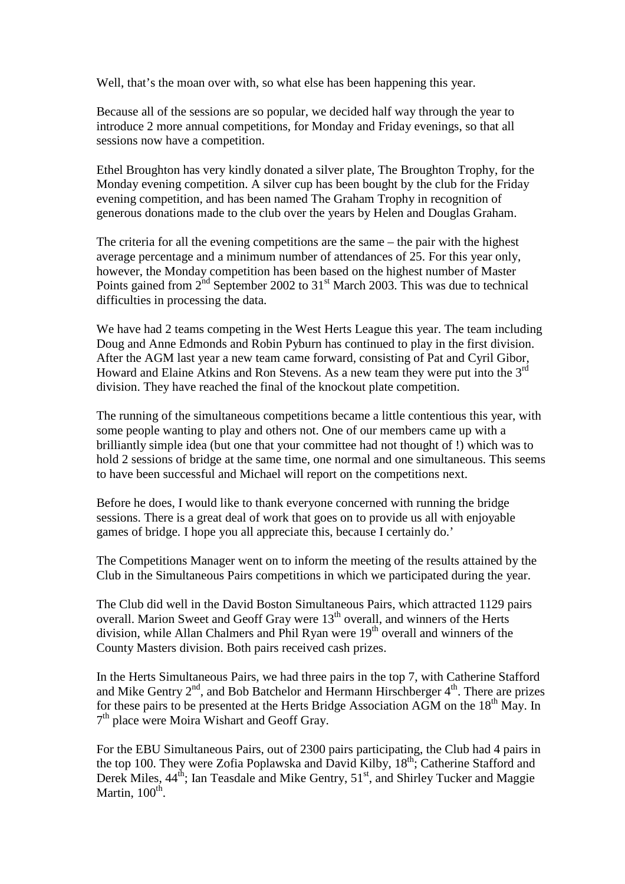Well, that's the moan over with, so what else has been happening this year.

Because all of the sessions are so popular, we decided half way through the year to introduce 2 more annual competitions, for Monday and Friday evenings, so that all sessions now have a competition.

Ethel Broughton has very kindly donated a silver plate, The Broughton Trophy, for the Monday evening competition. A silver cup has been bought by the club for the Friday evening competition, and has been named The Graham Trophy in recognition of generous donations made to the club over the years by Helen and Douglas Graham.

The criteria for all the evening competitions are the same – the pair with the highest average percentage and a minimum number of attendances of 25. For this year only, however, the Monday competition has been based on the highest number of Master Points gained from  $2^{nd}$  September 2002 to 31<sup>st</sup> March 2003. This was due to technical difficulties in processing the data.

We have had 2 teams competing in the West Herts League this year. The team including Doug and Anne Edmonds and Robin Pyburn has continued to play in the first division. After the AGM last year a new team came forward, consisting of Pat and Cyril Gibor, Howard and Elaine Atkins and Ron Stevens. As a new team they were put into the  $3<sup>rd</sup>$ division. They have reached the final of the knockout plate competition.

The running of the simultaneous competitions became a little contentious this year, with some people wanting to play and others not. One of our members came up with a brilliantly simple idea (but one that your committee had not thought of !) which was to hold 2 sessions of bridge at the same time, one normal and one simultaneous. This seems to have been successful and Michael will report on the competitions next.

Before he does, I would like to thank everyone concerned with running the bridge sessions. There is a great deal of work that goes on to provide us all with enjoyable games of bridge. I hope you all appreciate this, because I certainly do.'

The Competitions Manager went on to inform the meeting of the results attained by the Club in the Simultaneous Pairs competitions in which we participated during the year.

The Club did well in the David Boston Simultaneous Pairs, which attracted 1129 pairs overall. Marion Sweet and Geoff Gray were 13<sup>th</sup> overall, and winners of the Herts division, while Allan Chalmers and Phil Ryan were  $19<sup>th</sup>$  overall and winners of the County Masters division. Both pairs received cash prizes.

In the Herts Simultaneous Pairs, we had three pairs in the top 7, with Catherine Stafford and Mike Gentry  $2<sup>nd</sup>$ , and Bob Batchelor and Hermann Hirschberger  $4<sup>th</sup>$ . There are prizes for these pairs to be presented at the Herts Bridge Association AGM on the  $18<sup>th</sup>$  May. In 7<sup>th</sup> place were Moira Wishart and Geoff Gray.

For the EBU Simultaneous Pairs, out of 2300 pairs participating, the Club had 4 pairs in the top 100. They were Zofia Poplawska and David Kilby,  $18^{th}$ ; Catherine Stafford and Derek Miles,  $44^{\text{th}}$ ; Ian Teasdale and Mike Gentry,  $51^{\text{st}}$ , and Shirley Tucker and Maggie Martin,  $100^{\text{th}}$ .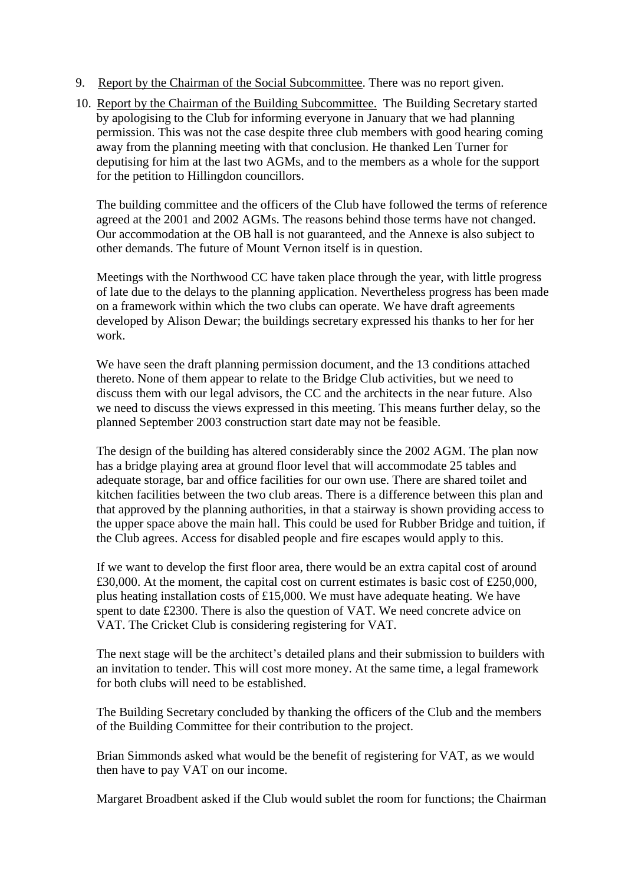- 9. Report by the Chairman of the Social Subcommittee. There was no report given.
- 10. Report by the Chairman of the Building Subcommittee. The Building Secretary started by apologising to the Club for informing everyone in January that we had planning permission. This was not the case despite three club members with good hearing coming away from the planning meeting with that conclusion. He thanked Len Turner for deputising for him at the last two AGMs, and to the members as a whole for the support for the petition to Hillingdon councillors.

The building committee and the officers of the Club have followed the terms of reference agreed at the 2001 and 2002 AGMs. The reasons behind those terms have not changed. Our accommodation at the OB hall is not guaranteed, and the Annexe is also subject to other demands. The future of Mount Vernon itself is in question.

Meetings with the Northwood CC have taken place through the year, with little progress of late due to the delays to the planning application. Nevertheless progress has been made on a framework within which the two clubs can operate. We have draft agreements developed by Alison Dewar; the buildings secretary expressed his thanks to her for her work.

We have seen the draft planning permission document, and the 13 conditions attached thereto. None of them appear to relate to the Bridge Club activities, but we need to discuss them with our legal advisors, the CC and the architects in the near future. Also we need to discuss the views expressed in this meeting. This means further delay, so the planned September 2003 construction start date may not be feasible.

The design of the building has altered considerably since the 2002 AGM. The plan now has a bridge playing area at ground floor level that will accommodate 25 tables and adequate storage, bar and office facilities for our own use. There are shared toilet and kitchen facilities between the two club areas. There is a difference between this plan and that approved by the planning authorities, in that a stairway is shown providing access to the upper space above the main hall. This could be used for Rubber Bridge and tuition, if the Club agrees. Access for disabled people and fire escapes would apply to this.

If we want to develop the first floor area, there would be an extra capital cost of around £30,000. At the moment, the capital cost on current estimates is basic cost of £250,000, plus heating installation costs of £15,000. We must have adequate heating. We have spent to date £2300. There is also the question of VAT. We need concrete advice on VAT. The Cricket Club is considering registering for VAT.

The next stage will be the architect's detailed plans and their submission to builders with an invitation to tender. This will cost more money. At the same time, a legal framework for both clubs will need to be established.

The Building Secretary concluded by thanking the officers of the Club and the members of the Building Committee for their contribution to the project.

Brian Simmonds asked what would be the benefit of registering for VAT, as we would then have to pay VAT on our income.

Margaret Broadbent asked if the Club would sublet the room for functions; the Chairman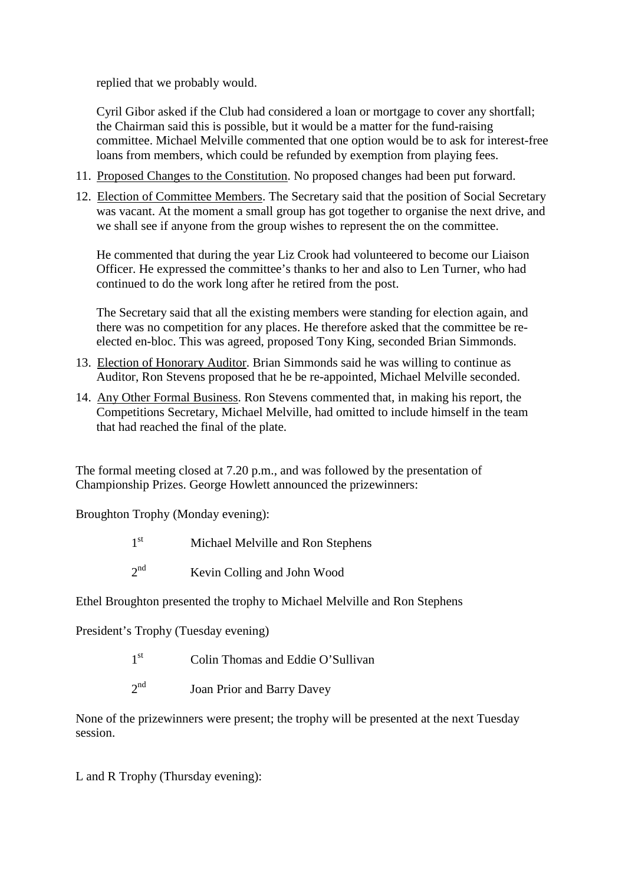replied that we probably would.

Cyril Gibor asked if the Club had considered a loan or mortgage to cover any shortfall; the Chairman said this is possible, but it would be a matter for the fund-raising committee. Michael Melville commented that one option would be to ask for interest-free loans from members, which could be refunded by exemption from playing fees.

- 11. Proposed Changes to the Constitution. No proposed changes had been put forward.
- 12. Election of Committee Members. The Secretary said that the position of Social Secretary was vacant. At the moment a small group has got together to organise the next drive, and we shall see if anyone from the group wishes to represent the on the committee.

He commented that during the year Liz Crook had volunteered to become our Liaison Officer. He expressed the committee's thanks to her and also to Len Turner, who had continued to do the work long after he retired from the post.

The Secretary said that all the existing members were standing for election again, and there was no competition for any places. He therefore asked that the committee be reelected en-bloc. This was agreed, proposed Tony King, seconded Brian Simmonds.

- 13. Election of Honorary Auditor. Brian Simmonds said he was willing to continue as Auditor, Ron Stevens proposed that he be re-appointed, Michael Melville seconded.
- 14. Any Other Formal Business. Ron Stevens commented that, in making his report, the Competitions Secretary, Michael Melville, had omitted to include himself in the team that had reached the final of the plate.

The formal meeting closed at 7.20 p.m., and was followed by the presentation of Championship Prizes. George Howlett announced the prizewinners:

Broughton Trophy (Monday evening):

- $1<sup>st</sup>$ Michael Melville and Ron Stephens
- $2^{nd}$ Kevin Colling and John Wood

Ethel Broughton presented the trophy to Michael Melville and Ron Stephens

President's Trophy (Tuesday evening)

- $1<sup>st</sup>$ Colin Thomas and Eddie O'Sullivan
- $2<sup>nd</sup>$ Joan Prior and Barry Davey

None of the prizewinners were present; the trophy will be presented at the next Tuesday session.

L and R Trophy (Thursday evening):